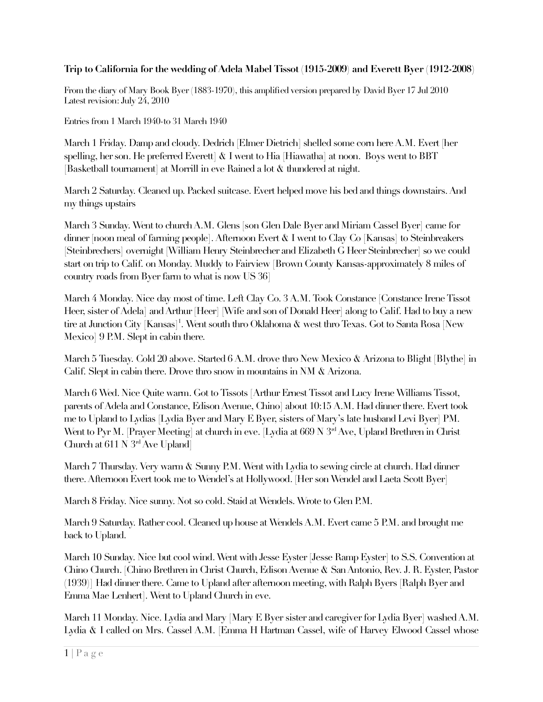# **Trip to California for the wedding of Adela Mabel Tissot (1915-2009) and Everett Byer (1912-2008)**

From the diary of Mary Book Byer (1883-1970), this amplifed version prepared by David Byer 17 Jul 2010 Latest revision: July 24, 2010

Entries from 1 March 1940-to 31 March 1940

March 1 Friday. Damp and cloudy. Dedrich [Elmer Dietrich] shelled some corn here A.M. Evert [her spelling, her son. He preferred Everett  $\&$  I went to Hia [Hiawatha] at noon. Boys went to BBT [Basketball tournament] at Morrill in eve Rained a lot  $\&$  thundered at night.

March 2 Saturday. Cleaned up. Packed suitcase. Evert helped move his bed and things downstairs. And my things upstairs

March 3 Sunday. Went to church A.M. Glens [son Glen Dale Byer and Miriam Cassel Byer] came for dinner [noon meal of farming people]. Afternoon Evert & I went to Clay Co [Kansas] to Steinbreakers [Steinbrechers] overnight [William Henry Steinbrecher and Elizabeth G Heer Steinbrecher] so we could start on trip to Calif. on Monday. Muddy to Fairview [Brown County Kansas-approximately 8 miles of country roads from Byer farm to what is now US 36]

March 4 Monday. Nice day most of time. Left Clay Co. 3 A.M. Took Constance [Constance Irene Tissot Heer, sister of Adela] and Arthur [Heer] [Wife and son of Donald Heer] along to Calif. Had to buy a new tire at Junction City [Kansas] $^1$ . Went south thro Oklahoma  $\&$  west thro Texas. Got to Santa Rosa [New Mexico] 9 P.M. Slept in cabin there.

March 5 Tuesday. Cold 20 above. Started 6 A.M. drove thro New Mexico & Arizona to Blight [Blythe] in Calif. Slept in cabin there. Drove thro snow in mountains in NM & Arizona.

March 6 Wed. Nice Quite warm. Got to Tissots [Arthur Ernest Tissot and Lucy Irene Williams Tissot, parents of Adela and Constance, Edison Avenue, Chino] about 10:15 A.M. Had dinner there. Evert took me to Upland to Lydias [Lydia Byer and Mary E Byer, sisters of Mary's late husband Levi Byer] PM. Went to Pyr M. [Prayer Meeting] at church in eve. [Lydia at 669 N 3<sup>rd</sup> Ave, Upland Brethren in Christ] Church at  $611$  N  $3<sup>rd</sup>$  Ave Upland]

March 7 Thursday. Very warm & Sunny P.M. Went with Lydia to sewing circle at church. Had dinner there. Afternoon Evert took me to Wendel's at Hollywood. [Her son Wendel and Laeta Scott Byer]

March 8 Friday. Nice sunny. Not so cold. Staid at Wendels. Wrote to Glen P.M.

March 9 Saturday. Rather cool. Cleaned up house at Wendels A.M. Evert came 5 P.M. and brought me back to Upland.

March 10 Sunday. Nice but cool wind. Went with Jesse Eyster [Jesse Ramp Eyster] to S.S. Convention at Chino Church. [Chino Brethren in Christ Church, Edison Avenue & San Antonio, Rev. J. R. Eyster, Pastor (1939)] Had dinner there. Came to Upland after afternoon meeting, with Ralph Byers [Ralph Byer and Emma Mae Lenhert]. Went to Upland Church in eve.

March 11 Monday. Nice. Lydia and Mary [Mary E Byer sister and caregiver for Lydia Byer] washed A.M. Lydia & I called on Mrs. Cassel A.M. [Emma H Hartman Cassel, wife of Harvey Elwood Cassel whose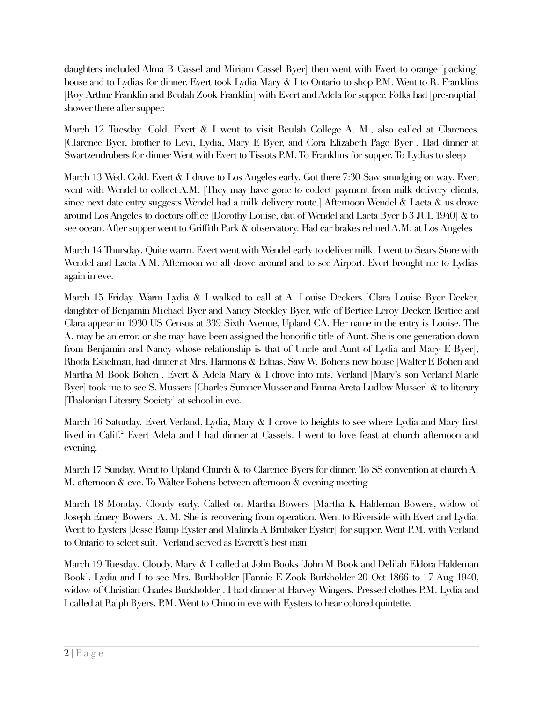daughters included Alma B Cassel and Miriam Cassel Byer] then went with Evert to orange [packing] house and to Lydias for dinner. Evert took Lydia Mary & I to Ontario to shop P.M. Went to R. Franklins [Roy Arthur Franklin and Beulah Zook Franklin] with Evert and Adela for supper. Folks had [pre-nuptial] shower there after supper.

March 12 Tuesday. Cold. Evert & I went to visit Beulah College A. M., also called at Clarences. [Clarence Byer, brother to Levi, Lydia, Mary E Byer, and Cora Elizabeth Page Byer]. Had dinner at Swartzendrubers for dinner Went with Evert to Tissots P.M. To Franklins for supper. To Lydias to sleep

March 13 Wed. Cold. Evert & I drove to Los Angeles early. Got there 7:30 Saw smudging on way. Evert went with Wendel to collect A.M. [They may have gone to collect payment from milk delivery clients, since next date entry suggests Wendel had a milk delivery route.] Afternoon Wendel & Laeta & us drove around Los Angeles to doctors offce [Dorothy Louise, dau of Wendel and Laeta Byer b 3 JUL 1940] & to see ocean. After supper went to Griffth Park & observatory. Had car brakes relined A.M. at Los Angeles

March 14 Thursday. Quite warm. Evert went with Wendel early to deliver milk. I went to Sears Store with Wendel and Laeta A.M. Afternoon we all drove around and to see Airport. Evert brought me to Lydias again in eve.

March 15 Friday. Warm Lydia & I walked to call at A. Louise Deckers [Clara Louise Byer Decker, daughter of Benjamin Michael Byer and Nancy Steckley Byer, wife of Bertice Leroy Decker. Bertice and Clara appear in 1930 US Census at 339 Sixth Avenue, Upland CA. Her name in the entry is Louise. The A. may be an error, or she may have been assigned the honorifc title of Aunt. She is one generation down from Benjamin and Nancy whose relationship is that of Uncle and Aunt of Lydia and Mary E Byer], Rhoda Eshelman, had dinner at Mrs. Harmons & Ednas. Saw W. Bohens new house [Walter E Bohen and Martha M Book Bohen]. Evert & Adela Mary & I drove into mts. Verland [Mary's son Verland Marle Byer] took me to see S. Mussers [Charles Sumner Musser and Emma Areta Ludlow Musser] & to literary [Thalonian Literary Society] at school in eve.

March 16 Saturday. Evert Verland, Lydia, Mary & I drove to heights to see where Lydia and Mary frst lived in Calif.<sup>2</sup> Evert Adela and I had dinner at Cassels. I went to love feast at church afternoon and evening.

March 17 Sunday. Went to Upland Church & to Clarence Byers for dinner. To SS convention at church A. M. afternoon & eve. To Walter Bohens between afternoon & evening meeting

March 18 Monday. Cloudy early. Called on Martha Bowers [Martha K Haldeman Bowers, widow of Joseph Emery Bowers] A. M. She is recovering from operation. Went to Riverside with Evert and Lydia. Went to Eysters [Jesse Ramp Eyster and Malinda A Brubaker Eyster] for supper. Went P.M. with Verland to Ontario to select suit. [Verland served as Everett's best man]

March 19 Tuesday. Cloudy. Mary & I called at John Books [John M Book and Delilah Eldora Haldeman Book]. Lydia and I to see Mrs. Burkholder [Fannie E Zook Burkholder 20 Oct 1866 to 17 Aug 1940, widow of Christian Charles Burkholder]. I had dinner at Harvey Wingers. Pressed clothes P.M. Lydia and I called at Ralph Byers. P.M. Went to Chino in eve with Eysters to hear colored quintette.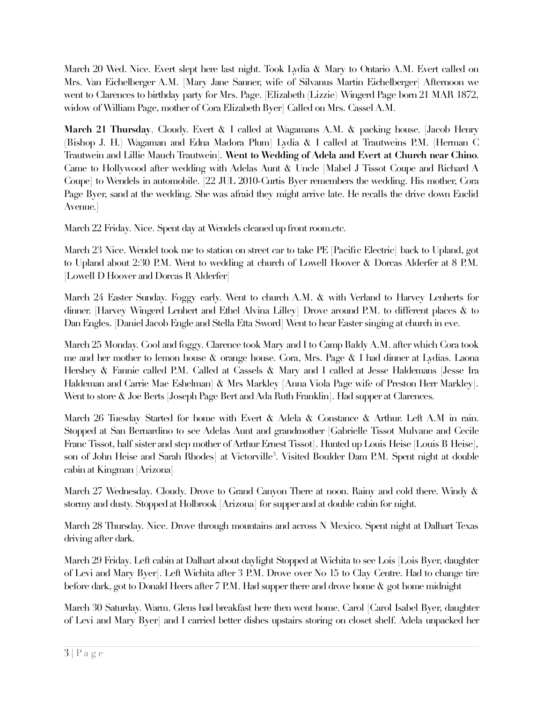March 20 Wed. Nice. Evert slept here last night. Took Lydia & Mary to Ontario A.M. Evert called on Mrs. Van Eichelberger A.M. [Mary Jane Sanner, wife of Silvanus Martin Eichelberger] Afternoon we went to Clarences to birthday party for Mrs. Page. [Elizabeth (Lizzie) Wingerd Page born 21 MAR 1872, widow of William Page, mother of Cora Elizabeth Byer] Called on Mrs. Cassel A.M.

**March 21 Thursday**. Cloudy. Evert & I called at Wagamans A.M. & packing house. [Jacob Henry (Bishop J. H.) Wagaman and Edna Madora Plum] Lydia & I called at Trautweins P.M. [Herman C Trautwein and Lillie Mauch Trautwein]. **Went to Wedding of Adela and Evert at Church near Chino**. Came to Hollywood after wedding with Adelas Aunt & Uncle [Mabel J Tissot Coupe and Richard A Coupe] to Wendels in automobile. [22 JUL 2010-Curtis Byer remembers the wedding. His mother, Cora Page Byer, sand at the wedding. She was afraid they might arrive late. He recalls the drive down Euclid Avenue.]

March 22 Friday. Nice. Spent day at Wendels cleaned up front room.etc.

March 23 Nice. Wendel took me to station on street car to take PE [Pacifc Electric] back to Upland, got to Upland about 2:30 P.M. Went to wedding at church of Lowell Hoover & Dorcas Alderfer at 8 P.M. [Lowell D Hoover and Dorcas R Alderfer]

March 24 Easter Sunday. Foggy early. Went to church A.M. & with Verland to Harvey Lenherts for dinner. [Harvey Wingerd Lenhert and Ethel Alvina Lilley] Drove around P.M. to different places & to Dan Engles. [Daniel Jacob Engle and Stella Etta Sword] Went to hear Easter singing at church in eve.

March 25 Monday. Cool and foggy. Clarence took Mary and I to Camp Baldy A.M. after which Cora took me and her mother to lemon house & orange house. Cora, Mrs. Page & I had dinner at Lydias. Laona Hershey & Fannie called P.M. Called at Cassels & Mary and I called at Jesse Haldemans [Jesse Ira Haldeman and Carrie Mae Eshelman] & Mrs Markley [Anna Viola Page wife of Preston Herr Markley]. Went to store & Joe Berts [Joseph Page Bert and Ada Ruth Franklin]. Had supper at Clarences.

March 26 Tuesday Started for home with Evert & Adela & Constance & Arthur. Left A.M in rain. Stopped at San Bernardino to see Adelas Aunt and grandmother [Gabrielle Tissot Mulvane and Cecile Franc Tissot, half sister and step mother of Arthur Ernest Tissot]. Hunted up Louis Heise [Louis B Heise], son of John Heise and Sarah Rhodes] at Victorville<sup>3</sup>. Visited Boulder Dam P.M. Spent night at double cabin at Kingman [Arizona]

March 27 Wednesday. Cloudy. Drove to Grand Canyon There at noon. Rainy and cold there. Windy & stormy and dusty. Stopped at Holbrook [Arizona] for supper and at double cabin for night.

March 28 Thursday. Nice. Drove through mountains and across N Mexico. Spent night at Dalhart Texas driving after dark.

March 29 Friday. Left cabin at Dalhart about daylight Stopped at Wichita to see Lois [Lois Byer, daughter of Levi and Mary Byer]. Left Wichita after 3 P.M. Drove over No 15 to Clay Centre. Had to change tire before dark, got to Donald Heers after 7 P.M. Had supper there and drove home & got home midnight

March 30 Saturday. Warm. Glens had breakfast here then went home. Carol [Carol Isabel Byer, daughter of Levi and Mary Byer] and I carried better dishes upstairs storing on closet shelf. Adela unpacked her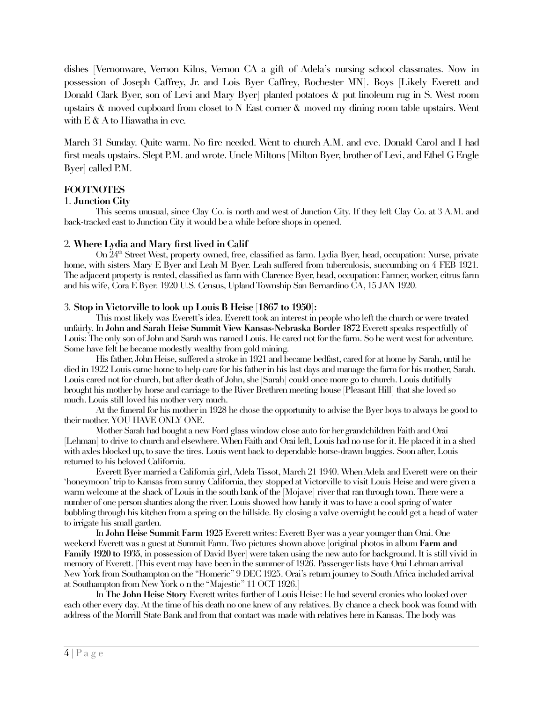dishes [Vernonware, Vernon Kilns, Vernon CA a gift of Adela's nursing school classmates. Now in possession of Joseph Caffrey, Jr. and Lois Byer Caffrey, Rochester MN]. Boys [Likely Everett and Donald Clark Byer, son of Levi and Mary Byer] planted potatoes & put linoleum rug in S. West room upstairs & moved cupboard from closet to N East corner & moved my dining room table upstairs. Went with  $E \& A$  to Hiawatha in eve.

March 31 Sunday. Quite warm. No fre needed. Went to church A.M. and eve. Donald Carol and I had frst meals upstairs. Slept P.M. and wrote. Uncle Miltons [Milton Byer, brother of Levi, and Ethel G Engle Byer] called P.M.

## **FOOTNOTES**

#### 1. **Junction City**

This seems unusual, since Clay Co. is north and west of Junction City. If they left Clay Co. at 3 A.M. and back-tracked east to Junction City it would be a while before shops in opened.

### 2. **Where Lydia and Mary frst lived in Calif**

On 24th Street West, property owned, free, classifed as farm. Lydia Byer, head, occupation: Nurse, private home, with sisters Mary E Byer and Leah M Byer. Leah suffered from tuberculosis, succumbing on 4 FEB 1921. The adjacent property is rented, classifed as farm with Clarence Byer, head, occupation: Farmer, worker, citrus farm and his wife, Cora E Byer. 1920 U.S. Census, Upland Township San Bernardino CA, 15 JAN 1920.

#### 3. **Stop in Victorville to look up Louis B Heise [1867 to 1950]:**

This most likely was Everett's idea. Everett took an interest in people who left the church or were treated unfairly. In **John and Sarah Heise Summit View Kansas-Nebraska Border 1872** Everett speaks respectfully of Louis: The only son of John and Sarah was named Louis. He cared not for the farm. So he went west for adventure. Some have felt he became modestly wealthy from gold mining.

His father, John Heise, suffered a stroke in 1921 and became bedfast, cared for at home by Sarah, until he died in 1922 Louis came home to help care for his father in his last days and manage the farm for his mother, Sarah. Louis cared not for church, but after death of John, she [Sarah] could once more go to church. Louis dutifully brought his mother by horse and carriage to the River Brethren meeting house [Pleasant Hill] that she loved so much. Louis still loved his mother very much.

At the funeral for his mother in 1928 he chose the opportunity to advise the Byer boys to always be good to their mother. YOU HAVE ONLY ONE.

Mother Sarah had bought a new Ford glass window close auto for her grandchildren Faith and Orai [Lehman] to drive to church and elsewhere. When Faith and Orai left, Louis had no use for it. He placed it in a shed with axles blocked up, to save the tires. Louis went back to dependable horse-drawn buggies. Soon after, Louis returned to his beloved California.

Everett Byer married a California girl, Adela Tissot, March 21 1940. When Adela and Everett were on their 'honeymoon' trip to Kansas from sunny California, they stopped at Victorville to visit Louis Heise and were given a warm welcome at the shack of Louis in the south bank of the [Mojave] river that ran through town. There were a number of one person shanties along the river. Louis showed how handy it was to have a cool spring of water bubbling through his kitchen from a spring on the hillside. By closing a valve overnight he could get a head of water to irrigate his small garden.

In **John Heise Summit Farm 1925** Everett writes: Everett Byer was a year younger than Orai. One weekend Everett was a guest at Summit Farm. Two pictures shown above [original photos in album **Farm and Family 1920 to 1935**, in possession of David Byer] were taken using the new auto for background. It is still vivid in memory of Everett. [This event may have been in the summer of 1926. Passenger lists have Orai Lehman arrival New York from Southampton on the "Homeric" 9 DEC 1925. Orai's return journey to South Africa included arrival at Southampton from New York o n the "Majestic" 11 OCT 1926.]

In **The John Heise Story** Everett writes further of Louis Heise: He had several cronies who looked over each other every day. At the time of his death no one knew of any relatives. By chance a check book was found with address of the Morrill State Bank and from that contact was made with relatives here in Kansas. The body was